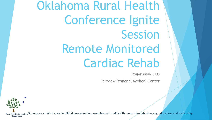Oklahoma Rural Health Conference Ignite Session Remote Monitored Cardiac Rehab

Roger Knak CEO

Fairview Regional Medical Center

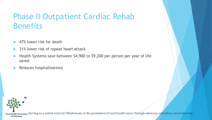# Phase II Outpatient Cardiac Rehab **Benefits**

- 47% lower risk for death
- 31% lower risk of repeat heart attack
- Health Systems save between \$4,900 to \$9,200 per person per year of life saved
- Reduces hospitalizations

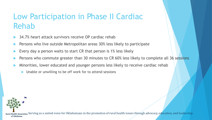# Low Participation in Phase II Cardiac Rehab

- 34.7% heart attack survivors receive OP cardiac rehab
- Persons who live outside Metropolitan areas 30% less likely to participate
- Every day a person waits to start CR that person is 1% less likely
- Persons who commute greater than 30 minutes to CR 60% less likely to complete all 36 sessions
- Minorities, lower educated and younger persons less likely to receive cardiac rehab
	- Unable or unwilling to be off work for to attend sessions

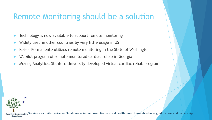#### Remote Monitoring should be a solution

- Technology is now available to support remote monitoring
- Widely used in other countries by very little usage in US
- Keiser Permanente utilizes remote monitoring in the State of Washington
- VA pilot program of remote monitored cardiac rehab in Georgia
- Moving Analytics, Stanford University developed virtual cardiac rehab program

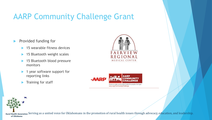# AARP Community Challenge Grant

- **Provided funding for** 
	- 15 wearable fitness devices
	- ▶ 15 Bluetooth weight scales
	- ▶ 15 Bluetooth blood pressure monitors
	- ▶ 1 year software support for reporting links
	- Training for staff



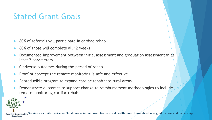## Stated Grant Goals

- 80% of referrals will participate in cardiac rehab
- 80% of those will complete all 12 weeks
- Documented improvement between initial assessment and graduation assessment in at least 2 parameters
- 0 adverse outcomes during the period of rehab
- Proof of concept the remote monitoring is safe and effective
- Reproducible program to expand cardiac rehab into rural areas
- Demonstrate outcomes to support change to reimbursement methodologies to include remote monitoring cardiac rehab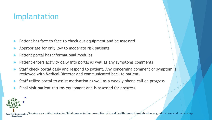## Implantation

- Patient has face to face to check out equipment and be assessed
- Appropriate for only low to moderate risk patients
- Patient portal has informational modules
- Patient enters activity daily into portal as well as any symptoms comments
- Staff check portal daily and respond to patient. Any concerning comment or symptom is reviewed with Medical Director and communicated back to patient.
- Staff utilize portal to assist motivation as well as a weekly phone call on progress
- Final visit patient returns equipment and is assessed for progress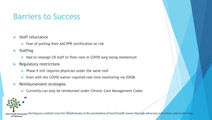## Barriers to Success

- Staff reluctance
	- Fear of putting their AACVPR certification at risk
- **Staffing** 
	- Had to reassign CR staff to floor care in COVID surg losing momentum
- Regulatory restrictions
	- $\blacktriangleright$  Phase II still requires physician under the same roof
	- ▶ Even with the COVID waiver required real time monitoring via ZOOM
- $\blacktriangleright$  Reimbursement strategies
	- ▶ Currently can only be reimbursed under Chronic Care Management Codes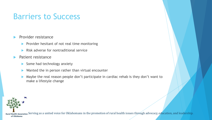## Barriers to Success

#### Provider resistance

- Provider hesitant of not real time monitoring
- Risk adverse for nontraditional service
- **Patient resistance** 
	- $\triangleright$  Some had technology anxiety
	- ▶ Wanted the in person rather than virtual encounter
	- Maybe the real reason people don't participate in cardiac rehab is they don't want to make a lifestyle change

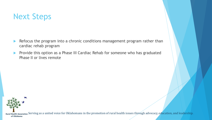## Next Steps

- Refocus the program into a chronic conditions management program rather than cardiac rehab program
- **Provide this option as a Phase III Cardiac Rehab for someone who has graduated** Phase II or lives remote